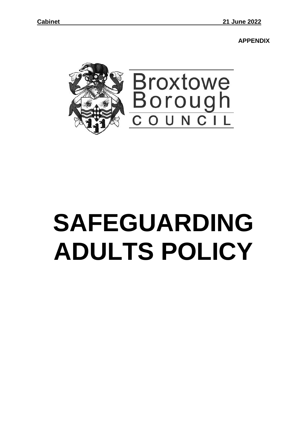**APPENDIX**



# **SAFEGUARDING ADULTS POLICY**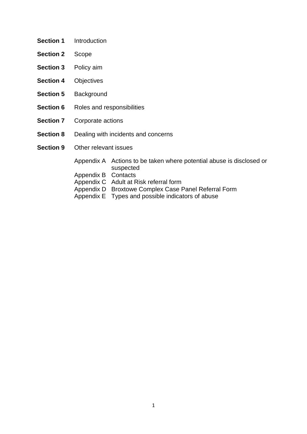- **Section 1** Introduction
- **Section 2** Scope
- **Section 3** Policy aim
- **Section 4** Objectives
- **Section 5** Background
- **Section 6** Roles and responsibilities
- **Section 7** Corporate actions
- **Section 8** Dealing with incidents and concerns
- **Section 9** Other relevant issues

Appendix A Actions to be taken where potential abuse is disclosed or suspected Appendix B Contacts Appendix C Adult at Risk referral form Appendix D Broxtowe Complex Case Panel Referral Form Appendix E Types and possible indicators of abuse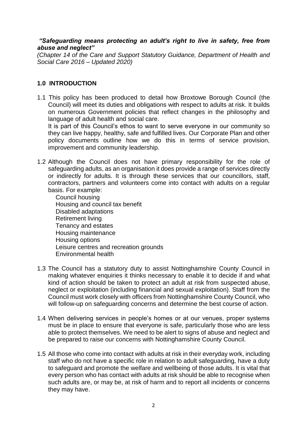#### *"Safeguarding means protecting an adult's right to live in safety, free from abuse and neglect"*

*(Chapter 14 of the Care and Support Statutory Guidance, Department of Health and Social Care 2016 – Updated 2020)*

## **1.0 INTRODUCTION**

1.1 This policy has been produced to detail how Broxtowe Borough Council (the Council) will meet its duties and obligations with respect to adults at risk. It builds on numerous Government policies that reflect changes in the philosophy and language of adult health and social care.

It is part of this Council's ethos to want to serve everyone in our community so they can live happy, healthy, safe and fulfilled lives. Our Corporate Plan and other policy documents outline how we do this in terms of service provision, improvement and community leadership.

1.2 Although the Council does not have primary responsibility for the role of safeguarding adults, as an organisation it does provide a range of services directly or indirectly for adults. It is through these services that our councillors, staff, contractors, partners and volunteers come into contact with adults on a regular basis. For example:

Council housing Housing and council tax benefit Disabled adaptations Retirement living Tenancy and estates Housing maintenance Housing options Leisure centres and recreation grounds Environmental health

- 1.3 The Council has a statutory duty to assist Nottinghamshire County Council in making whatever enquiries it thinks necessary to enable it to decide if and what kind of action should be taken to protect an adult at risk from suspected abuse, neglect or exploitation (including financial and sexual exploitation). Staff from the Council must work closely with officers from Nottinghamshire County Council, who will follow-up on safeguarding concerns and determine the best course of action.
- 1.4 When delivering services in people's homes or at our venues, proper systems must be in place to ensure that everyone is safe, particularly those who are less able to protect themselves. We need to be alert to signs of abuse and neglect and be prepared to raise our concerns with Nottinghamshire County Council.
- 1.5 All those who come into contact with adults at risk in their everyday work, including staff who do not have a specific role in relation to adult safeguarding, have a duty to safeguard and promote the welfare and wellbeing of those adults. It is vital that every person who has contact with adults at risk should be able to recognise when such adults are, or may be, at risk of harm and to report all incidents or concerns they may have.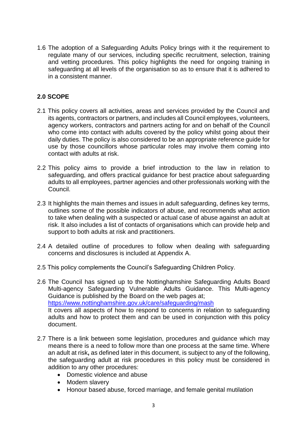1.6 The adoption of a Safeguarding Adults Policy brings with it the requirement to regulate many of our services, including specific recruitment, selection, training and vetting procedures. This policy highlights the need for ongoing training in safeguarding at all levels of the organisation so as to ensure that it is adhered to in a consistent manner.

# **2.0 SCOPE**

- 2.1 This policy covers all activities, areas and services provided by the Council and its agents, contractors or partners, and includes all Council employees, volunteers, agency workers, contractors and partners acting for and on behalf of the Council who come into contact with adults covered by the policy whilst going about their daily duties. The policy is also considered to be an appropriate reference guide for use by those councillors whose particular roles may involve them coming into contact with adults at risk.
- 2.2 This policy aims to provide a brief introduction to the law in relation to safeguarding, and offers practical guidance for best practice about safeguarding adults to all employees, partner agencies and other professionals working with the Council.
- 2.3 It highlights the main themes and issues in adult safeguarding, defines key terms, outlines some of the possible indicators of abuse, and recommends what action to take when dealing with a suspected or actual case of abuse against an adult at risk. It also includes a list of contacts of organisations which can provide help and support to both adults at risk and practitioners.
- 2.4 A detailed outline of procedures to follow when dealing with safeguarding concerns and disclosures is included at Appendix A.
- 2.5 This policy complements the Council's Safeguarding Children Policy.

2.6 The Council has signed up to the Nottinghamshire Safeguarding Adults Board Multi-agency Safeguarding Vulnerable Adults Guidance. This Multi-agency Guidance is published by the Board on the web pages at; https://www.nottinghamshire.gov.uk/care/safeguarding/mash It covers all aspects of how to respond to concerns in relation to safeguarding adults and how to protect them and can be used in conjunction with this policy document.

- 2.7 There is a link between some legislation, procedures and guidance which may means there is a need to follow more than one process at the same time. Where an adult at risk**,** as defined later in this document, is subject to any of the following, the safeguarding adult at risk procedures in this policy must be considered in addition to any other procedures:
	- Domestic violence and abuse
	- Modern slavery
	- Honour based abuse, forced marriage, and female genital mutilation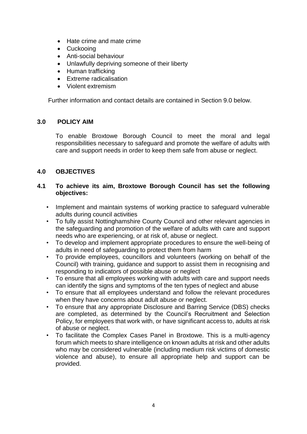- Hate crime and mate crime
- Cuckooing
- Anti-social behaviour
- Unlawfully depriving someone of their liberty
- Human trafficking
- Extreme radicalisation
- Violent extremism

Further information and contact details are contained in Section 9.0 below.

#### **3.0 POLICY AIM**

To enable Broxtowe Borough Council to meet the moral and legal responsibilities necessary to safeguard and promote the welfare of adults with care and support needs in order to keep them safe from abuse or neglect.

## **4.0 OBJECTIVES**

#### **4.1 To achieve its aim, Broxtowe Borough Council has set the following objectives:**

- Implement and maintain systems of working practice to safeguard vulnerable adults during council activities
- To fully assist Nottinghamshire County Council and other relevant agencies in the safeguarding and promotion of the welfare of adults with care and support needs who are experiencing, or at risk of, abuse or neglect.
- To develop and implement appropriate procedures to ensure the well-being of adults in need of safeguarding to protect them from harm
- To provide employees, councillors and volunteers (working on behalf of the Council) with training, guidance and support to assist them in recognising and responding to indicators of possible abuse or neglect
- To ensure that all employees working with adults with care and support needs can identify the signs and symptoms of the ten types of neglect and abuse
- To ensure that all employees understand and follow the relevant procedures when they have concerns about adult abuse or neglect.
- To ensure that any appropriate Disclosure and Barring Service (DBS) checks are completed, as determined by the Council's Recruitment and Selection Policy, for employees that work with, or have significant access to, adults at risk of abuse or neglect.
- To facilitate the Complex Cases Panel in Broxtowe. This is a multi-agency forum which meets to share intelligence on known adults at risk and other adults who may be considered vulnerable (including medium risk victims of domestic violence and abuse), to ensure all appropriate help and support can be provided.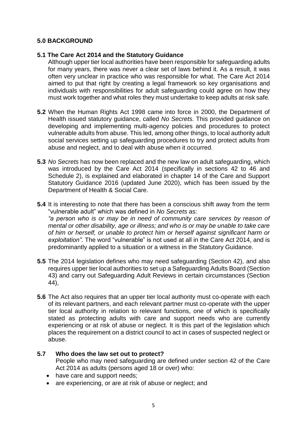#### **5.0 BACKGROUND**

#### **5.1 The Care Act 2014 and the Statutory Guidance**

Although upper tier local authorities have been responsible for safeguarding adults for many years, there was never a clear set of laws behind it. As a result, it was often very unclear in practice who was responsible for what. The Care Act 2014 aimed to put that right by creating a legal framework so key organisations and individuals with responsibilities for adult safeguarding could agree on how they must work together and what roles they must undertake to keep adults at risk safe.

- **5.2** When the Human Rights Act 1998 came into force in 2000, the Department of Health issued statutory guidance, called *No Secrets.* This provided guidance on developing and implementing multi-agency policies and procedures to protect vulnerable adults from abuse. This led, among other things, to local authority adult social services setting up safeguarding procedures to try and protect adults from abuse and neglect, and to deal with abuse when it occurred.
- **5.3** *No Secrets* has now been replaced and the new law on adult safeguarding, which was introduced by the Care Act 2014 (specifically in sections 42 to 46 and Schedule 2), is explained and elaborated in chapter 14 of the Care and Support Statutory Guidance 2016 (updated June 2020), which has been issued by the Department of Health & Social Care.
- **5.4** It is interesting to note that there has been a conscious shift away from the term "vulnerable adult" which was defined in *No Secrets* as: *"a person who is or may be in need of community care services by reason of mental or other disability, age or illness; and who is or may be unable to take care of him or herself, or unable to protect him or herself against significant harm or exploitation".* The word "vulnerable" is not used at all in the Care Act 2014, and is predominantly applied to a situation or a witness in the Statutory Guidance.
- **5.5** The 2014 legislation defines who may need safeguarding (Section 42), and also requires upper tier local authorities to set up a Safeguarding Adults Board (Section 43) and carry out Safeguarding Adult Reviews in certain circumstances (Section 44),
- **5.6** The Act also requires that an upper tier local authority must co-operate with each of its relevant partners, and each relevant partner must co-operate with the upper tier local authority in relation to relevant functions, one of which is specifically stated as protecting adults with care and support needs who are currently experiencing or at risk of abuse or neglect. It is this part of the legislation which places the requirement on a district council to act in cases of suspected neglect or abuse.

#### **5.7 Who does the law set out to protect?**

People who may need safeguarding are defined under section 42 of the Care Act 2014 as adults (persons aged 18 or over) who:

- have care and support needs;
- are experiencing, or are at risk of abuse or neglect; and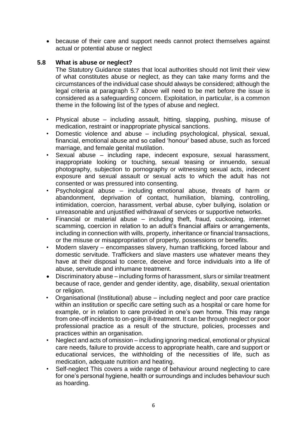because of their care and support needs cannot protect themselves against actual or potential abuse or neglect

## **5.8 What is abuse or neglect?**

The Statutory Guidance states that local authorities should not limit their view of what constitutes abuse or neglect, as they can take many forms and the circumstances of the individual case should always be considered; although the legal criteria at paragraph 5.7 above will need to be met before the issue is considered as a safeguarding concern. Exploitation, in particular, is a common theme in the following list of the types of abuse and neglect.

- Physical abuse including assault, hitting, slapping, pushing, misuse of medication, restraint or inappropriate physical sanctions.
- Domestic violence and abuse including psychological, physical, sexual, financial, emotional abuse and so called 'honour' based abuse, such as forced marriage, and female genital mutilation.
- Sexual abuse including rape, indecent exposure, sexual harassment, inappropriate looking or touching, sexual teasing or innuendo, sexual photography, subjection to pornography or witnessing sexual acts, indecent exposure and sexual assault or sexual acts to which the adult has not consented or was pressured into consenting.
- Psychological abuse including emotional abuse, threats of harm or abandonment, deprivation of contact, humiliation, blaming, controlling, intimidation, coercion, harassment, verbal abuse, cyber bullying, isolation or unreasonable and unjustified withdrawal of services or supportive networks.
- Financial or material abuse including theft, fraud, cuckooing, internet scamming, coercion in relation to an adult's financial affairs or arrangements, including in connection with wills, property, inheritance or financial transactions, or the misuse or misappropriation of property, possessions or benefits.
- Modern slavery encompasses slavery, human trafficking, forced labour and domestic servitude. Traffickers and slave masters use whatever means they have at their disposal to coerce, deceive and force individuals into a life of abuse, servitude and inhumane treatment.
- Discriminatory abuse including forms of harassment, slurs or similar treatment because of race, gender and gender identity, age, disability, sexual orientation or religion.
- Organisational (Institutional) abuse including neglect and poor care practice within an institution or specific care setting such as a hospital or care home for example, or in relation to care provided in one's own home. This may range from one-off incidents to on-going ill-treatment. It can be through neglect or poor professional practice as a result of the structure, policies, processes and practices within an organisation.
- Neglect and acts of omission including ignoring medical, emotional or physical care needs, failure to provide access to appropriate health, care and support or educational services, the withholding of the necessities of life, such as medication, adequate nutrition and heating.
- Self-neglect This covers a wide range of behaviour around neglecting to care for one's personal hygiene, health or surroundings and includes behaviour such as hoarding.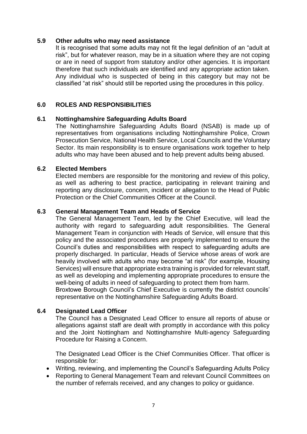#### **5.9 Other adults who may need assistance**

It is recognised that some adults may not fit the legal definition of an "adult at risk", but for whatever reason, may be in a situation where they are not coping or are in need of support from statutory and/or other agencies. It is important therefore that such individuals are identified and any appropriate action taken. Any individual who is suspected of being in this category but may not be classified "at risk" should still be reported using the procedures in this policy.

#### **6.0 ROLES AND RESPONSIBILITIES**

#### **6.1 Nottinghamshire Safeguarding Adults Board**

The Nottinghamshire Safeguarding Adults Board (NSAB) is made up of representatives from organisations including Nottinghamshire Police, Crown Prosecution Service, National Health Service, Local Councils and the Voluntary Sector. Its main responsibility is to ensure organisations work together to help adults who may have been abused and to help prevent adults being abused.

#### **6.2 Elected Members**

Elected members are responsible for the monitoring and review of this policy, as well as adhering to best practice, participating in relevant training and reporting any disclosure, concern, incident or allegation to the Head of Public Protection or the Chief Communities Officer at the Council.

#### **6.3 General Management Team and Heads of Service**

The General Management Team, led by the Chief Executive, will lead the authority with regard to safeguarding adult responsibilities. The General Management Team in conjunction with Heads of Service, will ensure that this policy and the associated procedures are properly implemented to ensure the Council's duties and responsibilities with respect to safeguarding adults are properly discharged. In particular, Heads of Service whose areas of work are heavily involved with adults who may become "at risk" (for example, Housing Services) will ensure that appropriate extra training is provided for relevant staff, as well as developing and implementing appropriate procedures to ensure the well-being of adults in need of safeguarding to protect them from harm.

Broxtowe Borough Council's Chief Executive is currently the district councils' representative on the Nottinghamshire Safeguarding Adults Board.

#### **6.4 Designated Lead Officer**

The Council has a Designated Lead Officer to ensure all reports of abuse or allegations against staff are dealt with promptly in accordance with this policy and the Joint Nottingham and Nottinghamshire Multi-agency Safeguarding Procedure for Raising a Concern.

The Designated Lead Officer is the Chief Communities Officer. That officer is responsible for:

- Writing, reviewing, and implementing the Council's Safeguarding Adults Policy
- Reporting to General Management Team and relevant Council Committees on the number of referrals received, and any changes to policy or guidance.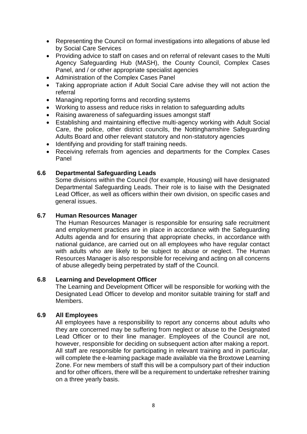- Representing the Council on formal investigations into allegations of abuse led by Social Care Services
- Providing advice to staff on cases and on referral of relevant cases to the Multi Agency Safeguarding Hub (MASH), the County Council, Complex Cases Panel, and / or other appropriate specialist agencies
- Administration of the Complex Cases Panel
- Taking appropriate action if Adult Social Care advise they will not action the referral
- Managing reporting forms and recording systems
- Working to assess and reduce risks in relation to safeguarding adults
- Raising awareness of safeguarding issues amongst staff
- Establishing and maintaining effective multi-agency working with Adult Social Care, the police, other district councils, the Nottinghamshire Safeguarding Adults Board and other relevant statutory and non-statutory agencies
- Identifying and providing for staff training needs.
- Receiving referrals from agencies and departments for the Complex Cases Panel

#### **6.6 Departmental Safeguarding Leads**

Some divisions within the Council (for example, Housing) will have designated Departmental Safeguarding Leads. Their role is to liaise with the Designated Lead Officer, as well as officers within their own division, on specific cases and general issues.

#### **6.7 Human Resources Manager**

The Human Resources Manager is responsible for ensuring safe recruitment and employment practices are in place in accordance with the Safeguarding Adults agenda and for ensuring that appropriate checks, in accordance with national guidance, are carried out on all employees who have regular contact with adults who are likely to be subiect to abuse or neglect. The Human Resources Manager is also responsible for receiving and acting on all concerns of abuse allegedly being perpetrated by staff of the Council.

#### **6.8 Learning and Development Officer**

The Learning and Development Officer will be responsible for working with the Designated Lead Officer to develop and monitor suitable training for staff and Members.

#### **6.9 All Employees**

All employees have a responsibility to report any concerns about adults who they are concerned may be suffering from neglect or abuse to the Designated Lead Officer or to their line manager. Employees of the Council are not, however, responsible for deciding on subsequent action after making a report. All staff are responsible for participating in relevant training and in particular, will complete the e-learning package made available via the Broxtowe Learning Zone. For new members of staff this will be a compulsory part of their induction and for other officers, there will be a requirement to undertake refresher training on a three yearly basis.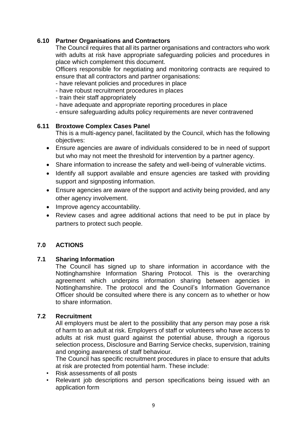# **6.10 Partner Organisations and Contractors**

The Council requires that all its partner organisations and contractors who work with adults at risk have appropriate safeguarding policies and procedures in place which complement this document.

Officers responsible for negotiating and monitoring contracts are required to ensure that all contractors and partner organisations:

- have relevant policies and procedures in place
- have robust recruitment procedures in places
- train their staff appropriately
- have adequate and appropriate reporting procedures in place
- ensure safeguarding adults policy requirements are never contravened

#### **6.11 Broxtowe Complex Cases Panel**

This is a multi-agency panel, facilitated by the Council, which has the following objectives:

- Ensure agencies are aware of individuals considered to be in need of support but who may not meet the threshold for intervention by a partner agency.
- Share information to increase the safety and well-being of vulnerable victims.
- Identify all support available and ensure agencies are tasked with providing support and signposting information.
- Ensure agencies are aware of the support and activity being provided, and any other agency involvement.
- Improve agency accountability.
- Review cases and agree additional actions that need to be put in place by partners to protect such people.

#### **7.0 ACTIONS**

#### **7.1 Sharing Information**

The Council has signed up to share information in accordance with the Nottinghamshire Information Sharing Protocol. This is the overarching agreement which underpins information sharing between agencies in Nottinghamshire. The protocol and the Council's Information Governance Officer should be consulted where there is any concern as to whether or how to share information.

#### **7.2 Recruitment**

All employers must be alert to the possibility that any person may pose a risk of harm to an adult at risk. Employers of staff or volunteers who have access to adults at risk must guard against the potential abuse, through a rigorous selection process, Disclosure and Barring Service checks, supervision, training and ongoing awareness of staff behaviour.

The Council has specific recruitment procedures in place to ensure that adults at risk are protected from potential harm. These include:

- Risk assessments of all posts
- Relevant job descriptions and person specifications being issued with an application form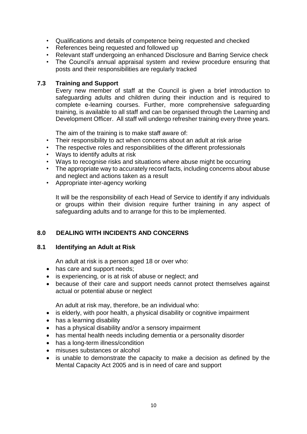- Qualifications and details of competence being requested and checked
- References being requested and followed up
- Relevant staff undergoing an enhanced Disclosure and Barring Service check
- The Council's annual appraisal system and review procedure ensuring that posts and their responsibilities are regularly tracked

## **7.3 Training and Support**

Every new member of staff at the Council is given a brief introduction to safeguarding adults and children during their induction and is required to complete e-learning courses. Further, more comprehensive safeguarding training, is available to all staff and can be organised through the Learning and Development Officer. All staff will undergo refresher training every three years.

The aim of the training is to make staff aware of:

- Their responsibility to act when concerns about an adult at risk arise
- The respective roles and responsibilities of the different professionals
- Ways to identify adults at risk
- Ways to recognise risks and situations where abuse might be occurring
- The appropriate way to accurately record facts, including concerns about abuse and neglect and actions taken as a result
- Appropriate inter-agency working

It will be the responsibility of each Head of Service to identify if any individuals or groups within their division require further training in any aspect of safeguarding adults and to arrange for this to be implemented.

# **8.0 DEALING WITH INCIDENTS AND CONCERNS**

#### **8.1 Identifying an Adult at Risk**

An adult at risk is a person aged 18 or over who:

- has care and support needs;
- is experiencing, or is at risk of abuse or neglect; and
- because of their care and support needs cannot protect themselves against actual or potential abuse or neglect

An adult at risk may, therefore, be an individual who:

- is elderly, with poor health, a physical disability or cognitive impairment
- has a learning disability
- has a physical disability and/or a sensory impairment
- has mental health needs including dementia or a personality disorder
- has a long-term illness/condition
- misuses substances or alcohol
- is unable to demonstrate the capacity to make a decision as defined by the Mental Capacity Act 2005 and is in need of care and support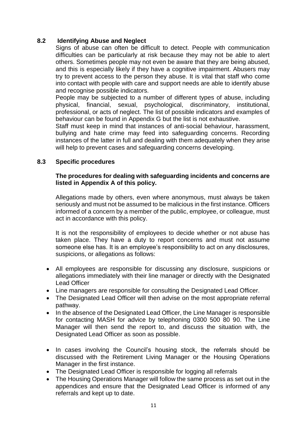## **8.2 Identifying Abuse and Neglect**

Signs of abuse can often be difficult to detect. People with communication difficulties can be particularly at risk because they may not be able to alert others. Sometimes people may not even be aware that they are being abused, and this is especially likely if they have a cognitive impairment. Abusers may try to prevent access to the person they abuse. It is vital that staff who come into contact with people with care and support needs are able to identify abuse and recognise possible indicators.

People may be subjected to a number of different types of abuse, including physical, financial, sexual, psychological, discriminatory, institutional, professional, or acts of neglect. The list of possible indicators and examples of behaviour can be found in Appendix G but the list is not exhaustive.

Staff must keep in mind that instances of anti-social behaviour, harassment, bullying and hate crime may feed into safeguarding concerns. Recording instances of the latter in full and dealing with them adequately when they arise will help to prevent cases and safeguarding concerns developing.

#### **8.3 Specific procedures**

#### **The procedures for dealing with safeguarding incidents and concerns are listed in Appendix A of this policy.**

Allegations made by others, even where anonymous, must always be taken seriously and must not be assumed to be malicious in the first instance. Officers informed of a concern by a member of the public, employee, or colleague, must act in accordance with this policy.

It is not the responsibility of employees to decide whether or not abuse has taken place. They have a duty to report concerns and must not assume someone else has. It is an employee's responsibility to act on any disclosures, suspicions, or allegations as follows:

- All employees are responsible for discussing any disclosure, suspicions or allegations immediately with their line manager or directly with the Designated Lead Officer
- Line managers are responsible for consulting the Designated Lead Officer.
- The Designated Lead Officer will then advise on the most appropriate referral pathway.
- In the absence of the Designated Lead Officer, the Line Manager is responsible for contacting MASH for advice by telephoning 0300 500 80 90. The Line Manager will then send the report to, and discuss the situation with, the Designated Lead Officer as soon as possible.
- In cases involving the Council's housing stock, the referrals should be discussed with the Retirement Living Manager or the Housing Operations Manager in the first instance.
- The Designated Lead Officer is responsible for logging all referrals
- The Housing Operations Manager will follow the same process as set out in the appendices and ensure that the Designated Lead Officer is informed of any referrals and kept up to date.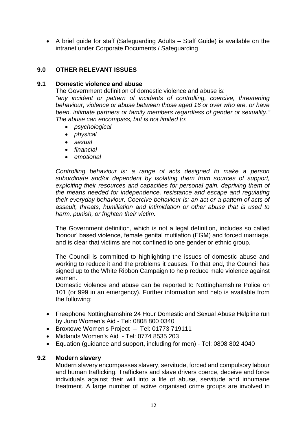A brief guide for staff (Safeguarding Adults – Staff Guide) is available on the intranet under Corporate Documents / Safeguarding

# **9.0 OTHER RELEVANT ISSUES**

#### **9.1 Domestic violence and abuse**

The Government definition of domestic violence and abuse is:

*"any incident or pattern of incidents of controlling, coercive, threatening behaviour, violence or abuse between those aged 16 or over who are, or have been, intimate partners or family members regardless of gender or sexuality." The abuse can encompass, but is not limited to:*

- *psychological*
- *physical*
- *sexual*
- *financial*
- *emotional*

*Controlling behaviour is: a range of acts designed to make a person subordinate and/or dependent by isolating them from sources of support,*  exploiting their resources and capacities for personal gain, depriving them of *the means needed for independence, resistance and escape and regulating their everyday behaviour. Coercive behaviour is: an act or a pattern of acts of assault, threats, humiliation and intimidation or other abuse that is used to harm, punish, or frighten their victim.*

The Government definition, which is not a legal definition, includes so called 'honour' based violence, female genital mutilation (FGM) and forced marriage, and is clear that victims are not confined to one gender or ethnic group.

The Council is committed to highlighting the issues of domestic abuse and working to reduce it and the problems it causes. To that end, the Council has signed up to the White Ribbon Campaign to help reduce male violence against women.

Domestic violence and abuse can be reported to Nottinghamshire Police on 101 (or 999 in an emergency). Further information and help is available from the following:

- Freephone Nottinghamshire 24 Hour Domestic and Sexual Abuse Helpline run by Juno Women's Aid - Tel: 0808 800 0340
- Broxtowe Women's Project Tel: 01773 719111
- Midlands Women's Aid Tel: 0774 8535 203
- Equation (guidance and support, including for men) Tel: 0808 802 4040

#### **9.2 Modern slavery**

Modern slavery encompasses slavery, servitude, forced and compulsory labour and human trafficking. Traffickers and slave drivers coerce, deceive and force individuals against their will into a life of abuse, servitude and inhumane treatment. A large number of active organised crime groups are involved in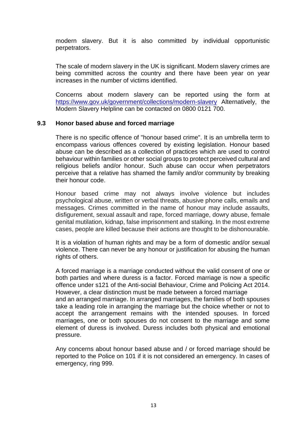modern slavery. But it is also committed by individual opportunistic perpetrators.

The scale of modern slavery in the UK is significant. Modern slavery crimes are being committed across the country and there have been year on year increases in the number of victims identified.

Concerns about modern slavery can be reported using the form at <https://www.gov.uk/government/collections/modern-slavery> Alternatively, the Modern Slavery Helpline can be contacted on 0800 0121 700.

#### **9.3 Honor based abuse and forced marriage**

There is no specific offence of "honour based crime". It is an umbrella term to encompass various offences covered by existing legislation. Honour based abuse can be described as a collection of practices which are used to control behaviour within families or other social groups to protect perceived cultural and religious beliefs and/or honour. Such abuse can occur when perpetrators perceive that a relative has shamed the family and/or community by breaking their honour code.

Honour based crime may not always involve violence but includes psychological abuse, written or verbal threats, abusive phone calls, emails and messages. Crimes committed in the name of honour may include assaults, disfigurement, sexual assault and rape, forced marriage, dowry abuse, female genital mutilation, kidnap, false imprisonment and stalking. In the most extreme cases, people are killed because their actions are thought to be dishonourable.

It is a violation of human rights and may be a form of domestic and/or sexual violence. There can never be any honour or justification for abusing the human rights of others.

A forced marriage is a marriage conducted without the valid consent of one or both parties and where duress is a factor. Forced marriage is now a specific offence under s121 of the Anti-social Behaviour, Crime and Policing Act 2014. However, a clear distinction must be made between a forced marriage and an arranged marriage. In arranged marriages, the families of both spouses take a leading role in arranging the marriage but the choice whether or not to accept the arrangement remains with the intended spouses. In forced marriages, one or both spouses do not consent to the marriage and some element of duress is involved. Duress includes both physical and emotional pressure.

Any concerns about honour based abuse and / or forced marriage should be reported to the Police on 101 if it is not considered an emergency. In cases of emergency, ring 999.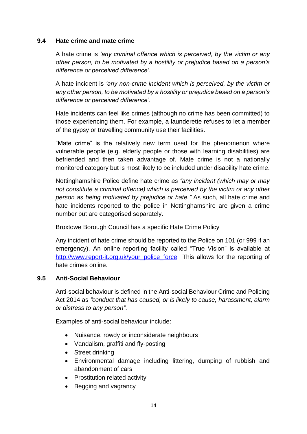# **9.4 Hate crime and mate crime**

A hate crime is *'any criminal offence which is perceived, by the victim or any other person, to be motivated by a hostility or prejudice based on a person's difference or perceived difference'.* 

A hate incident is *'any non-crime incident which is perceived, by the victim or any other person, to be motivated by a hostility or prejudice based on a person's difference or perceived difference'.*

Hate incidents can feel like crimes (although no crime has been committed) to those experiencing them. For example, a launderette refuses to let a member of the gypsy or travelling community use their facilities.

"Mate crime" is the relatively new term used for the phenomenon where vulnerable people (e.g. elderly people or those with learning disabilities) are befriended and then taken advantage of. Mate crime is not a nationally monitored category but is most likely to be included under disability hate crime.

Nottinghamshire Police define hate crime *as "any incident (which may or may not constitute a criminal offence) which is perceived by the victim or any other person as being motivated by prejudice or hate."* As such, all hate crime and hate incidents reported to the police in Nottinghamshire are given a crime number but are categorised separately.

Broxtowe Borough Council has a specific Hate Crime Policy

Any incident of hate crime should be reported to the Police on 101 (or 999 if an emergency). An online reporting facility called "True Vision" is available at [http://www.report-it.org.uk/your\\_police\\_force](http://www.report-it.org.uk/your_police_force) This allows for the reporting of hate crimes online.

#### **9.5 Anti-Social Behaviour**

Anti-social behaviour is defined in the Anti-social Behaviour Crime and Policing Act 2014 as *"conduct that has caused, or is likely to cause, harassment, alarm or distress to any person".* 

Examples of anti-social behaviour include:

- Nuisance, rowdy or inconsiderate neighbours
- Vandalism, graffiti and fly-posting
- Street drinking
- Environmental damage including littering, dumping of rubbish and abandonment of cars
- Prostitution related activity
- Begging and vagrancy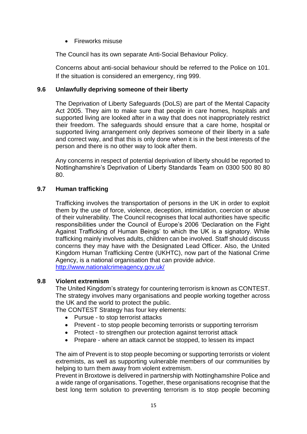• Fireworks misuse

The Council has its own separate Anti-Social Behaviour Policy.

Concerns about anti-social behaviour should be referred to the Police on 101. If the situation is considered an emergency, ring 999.

## **9.6 Unlawfully depriving someone of their liberty**

The Deprivation of Liberty Safeguards (DoLS) are part of the Mental Capacity Act 2005. They aim to make sure that people in care homes, hospitals and supported living are looked after in a way that does not inappropriately restrict their freedom. The safeguards should ensure that a care home, hospital or supported living arrangement only deprives someone of their liberty in a safe and correct way, and that this is only done when it is in the best interests of the person and there is no other way to look after them.

Any concerns in respect of potential deprivation of liberty should be reported to Nottinghamshire's Deprivation of Liberty Standards Team on 0300 500 80 80 80.

## **9.7 Human trafficking**

Trafficking involves the transportation of persons in the UK in order to exploit them by the use of force, violence, deception, intimidation, coercion or abuse of their vulnerability. The Council recognises that local authorities have specific responsibilities under the Council of Europe's 2006 'Declaration on the Fight Against Trafficking of Human Beings' to which the UK is a signatory. While trafficking mainly involves adults, children can be involved. Staff should discuss concerns they may have with the Designated Lead Officer. Also, the United Kingdom Human Trafficking Centre (UKHTC), now part of the National Crime Agency, is a national organisation that can provide advice. <http://www.nationalcrimeagency.gov.uk/>

#### **9.8 Violent extremism**

The United Kingdom's strategy for countering terrorism is known as CONTEST. The strategy involves many organisations and people working together across the UK and the world to protect the public.

The CONTEST Strategy has four key elements:

- Pursue to stop terrorist attacks
- Prevent to stop people becoming terrorists or supporting terrorism
- Protect to strengthen our protection against terrorist attack
- Prepare where an attack cannot be stopped, to lessen its impact

The aim of Prevent is to stop people becoming or supporting terrorists or violent extremists, as well as supporting vulnerable members of our communities by helping to turn them away from violent extremism.

Prevent in Broxtowe is delivered in partnership with Nottinghamshire Police and a wide range of organisations. Together, these organisations recognise that the best long term solution to preventing terrorism is to stop people becoming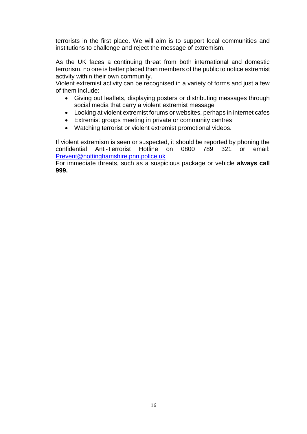terrorists in the first place. We will aim is to support local communities and institutions to challenge and reject the message of extremism.

As the UK faces a continuing threat from both international and domestic terrorism, no one is better placed than members of the public to notice extremist activity within their own community.

Violent extremist activity can be recognised in a variety of forms and just a few of them include:

- Giving out leaflets, displaying posters or distributing messages through social media that carry a violent extremist message
- Looking at violent extremist forums or websites, perhaps in internet cafes
- Extremist groups meeting in private or community centres
- Watching terrorist or violent extremist promotional videos.

If violent extremism is seen or suspected, it should be reported by phoning the confidential Anti-Terrorist Hotline on 0800 789 321 or email: [Prevent@nottinghamshire.pnn.police.uk](mailto:Prevent@nottinghamshire.pnn.police.uk)

For immediate threats, such as a suspicious package or vehicle **always call 999.**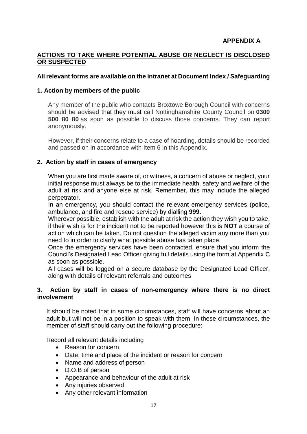# **APPENDIX A**

#### **ACTIONS TO TAKE WHERE POTENTIAL ABUSE OR NEGLECT IS DISCLOSED OR SUSPECTED**

## **All relevant forms are available on the intranet at Document Index / Safeguarding**

#### **1. Action by members of the public**

Any member of the public who contacts Broxtowe Borough Council with concerns should be advised that they must call Nottinghamshire County Council on **0300 500 80 80** as soon as possible to discuss those concerns. They can report anonymously.

However, if their concerns relate to a case of hoarding, details should be recorded and passed on in accordance with Item 6 in this Appendix.

#### **2. Action by staff in cases of emergency**

When you are first made aware of, or witness, a concern of abuse or neglect, your initial response must always be to the immediate health, safety and welfare of the adult at risk and anyone else at risk. Remember, this may include the alleged perpetrator.

In an emergency, you should contact the relevant emergency services (police, ambulance, and fire and rescue service) by dialling **999.** 

Wherever possible, establish with the adult at risk the action they wish you to take, if their wish is for the incident not to be reported however this is **NOT** a course of action which can be taken. Do not question the alleged victim any more than you need to in order to clarify what possible abuse has taken place.

Once the emergency services have been contacted, ensure that you inform the Council's Designated Lead Officer giving full details using the form at Appendix C as soon as possible.

All cases will be logged on a secure database by the Designated Lead Officer, along with details of relevant referrals and outcomes

#### **3. Action by staff in cases of non-emergency where there is no direct involvement**

It should be noted that in some circumstances, staff will have concerns about an adult but will not be in a position to speak with them. In these circumstances, the member of staff should carry out the following procedure:

Record all relevant details including

- Reason for concern
- Date, time and place of the incident or reason for concern
- Name and address of person
- D.O.B of person
- Appearance and behaviour of the adult at risk
- Any injuries observed
- Any other relevant information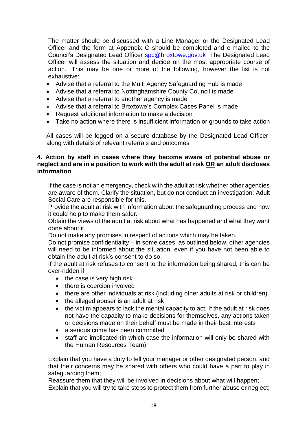The matter should be discussed with a Line Manager or the Designated Lead Officer and the form at Appendix C should be completed and e-mailed to the Council's Designated Lead Officer [spc@broxtowe.gov.uk](mailto:spc@broxtowe.gov.uk) The Designated Lead Officer will assess the situation and decide on the most appropriate course of action. This may be one or more of the following, however the list is not exhaustive:

- Advise that a referral to the Multi Agency Safeguarding Hub is made
- Advise that a referral to Nottinghamshire County Council is made
- Advise that a referral to another agency is made
- Advise that a referral to Broxtowe's Complex Cases Panel is made
- Request additional information to make a decision
- Take no action where there is insufficient information or grounds to take action

All cases will be logged on a secure database by the Designated Lead Officer, along with details of relevant referrals and outcomes

#### **4. Action by staff in cases where they become aware of potential abuse or neglect and are in a position to work with the adult at risk OR an adult discloses information**

If the case is not an emergency, check with the adult at risk whether other agencies are aware of them. Clarify the situation, but do not conduct an investigation; Adult Social Care are responsible for this.

Provide the adult at risk with information about the safeguarding process and how it could help to make them safer.

Obtain the views of the adult at risk about what has happened and what they want done about it.

Do not make any promises in respect of actions which may be taken.

Do not promise confidentiality – in some cases, as outlined below, other agencies will need to be informed about the situation, even if you have not been able to obtain the adult at risk's consent to do so.

If the adult at risk refuses to consent to the information being shared, this can be over-ridden if:

- $\bullet$  the case is very high risk
- there is coercion involved
- there are other individuals at risk (including other adults at risk or children)
- the alleged abuser is an adult at risk
- the victim appears to lack the mental capacity to act. If the adult at risk does not have the capacity to make decisions for themselves, any actions taken or decisions made on their behalf must be made in their best interests
- a serious crime has been committed
- staff are implicated (in which case the information will only be shared with the Human Resources Team).

Explain that you have a duty to tell your manager or other designated person, and that their concerns may be shared with others who could have a part to play in safeguarding them;

Reassure them that they will be involved in decisions about what will happen; Explain that you will try to take steps to protect them from further abuse or neglect;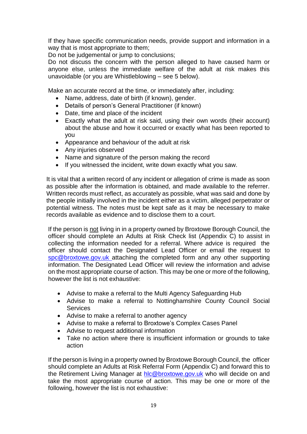If they have specific communication needs, provide support and information in a way that is most appropriate to them;

Do not be judgemental or jump to conclusions;

Do not discuss the concern with the person alleged to have caused harm or anyone else, unless the immediate welfare of the adult at risk makes this unavoidable (or you are Whistleblowing – see 5 below).

Make an accurate record at the time, or immediately after, including:

- Name, address, date of birth (if known), gender.
- Details of person's General Practitioner (if known)
- Date, time and place of the incident
- Exactly what the adult at risk said, using their own words (their account) about the abuse and how it occurred or exactly what has been reported to you
- Appearance and behaviour of the adult at risk
- Any injuries observed
- Name and signature of the person making the record
- If you witnessed the incident, write down exactly what you saw.

It is vital that a written record of any incident or allegation of crime is made as soon as possible after the information is obtained, and made available to the referrer. Written records must reflect, as accurately as possible, what was said and done by the people initially involved in the incident either as a victim, alleged perpetrator or potential witness. The notes must be kept safe as it may be necessary to make records available as evidence and to disclose them to a court.

If the person is not living in in a property owned by Broxtowe Borough Council, the officer should complete an Adults at Risk Check list (Appendix C) to assist in collecting the information needed for a referral. Where advice is required the officer should contact the Designated Lead Officer or email the request to [spc@broxtowe.gov.uk](mailto:spc@broxtowe.gov.uk) attaching the completed form and any other supporting information. The Designated Lead Officer will review the information and advise on the most appropriate course of action. This may be one or more of the following, however the list is not exhaustive:

- Advise to make a referral to the Multi Agency Safeguarding Hub
- Advise to make a referral to Nottinghamshire County Council Social **Services**
- Advise to make a referral to another agency
- Advise to make a referral to Broxtowe's Complex Cases Panel
- Advise to request additional information
- Take no action where there is insufficient information or grounds to take action

If the person is living in a property owned by Broxtowe Borough Council, the officer should complete an Adults at Risk Referral Form (Appendix C) and forward this to the Retirement Living Manager at [hlc@broxtowe.gov.uk](mailto:hlc@broxtowe.gov.uk) who will decide on and take the most appropriate course of action. This may be one or more of the following, however the list is not exhaustive: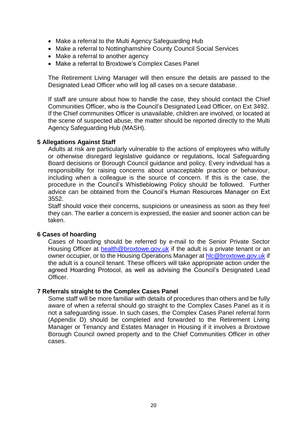- Make a referral to the Multi Agency Safeguarding Hub
- Make a referral to Nottinghamshire County Council Social Services
- Make a referral to another agency
- Make a referral to Broxtowe's Complex Cases Panel

The Retirement Living Manager will then ensure the details are passed to the Designated Lead Officer who will log all cases on a secure database.

If staff are unsure about how to handle the case, they should contact the Chief Communities Officer, who is the Council's Designated Lead Officer, on Ext 3492. If the Chief communities Officer is unavailable, children are involved, or located at the scene of suspected abuse, the matter should be reported directly to the Multi Agency Safeguarding Hub (MASH).

#### **5 Allegations Against Staff**

Adults at risk are particularly vulnerable to the actions of employees who wilfully or otherwise disregard legislative guidance or regulations, local Safeguarding Board decisions or Borough Council guidance and policy. Every individual has a responsibility for raising concerns about unacceptable practice or behaviour, including when a colleague is the source of concern. If this is the case, the procedure in the Council's Whistleblowing Policy should be followed. Further advice can be obtained from the Council's Human Resources Manager on Ext 3552.

Staff should voice their concerns, suspicions or uneasiness as soon as they feel they can. The earlier a concern is expressed, the easier and sooner action can be taken.

#### **6 Cases of hoarding**

Cases of hoarding should be referred by e-mail to the Senior Private Sector Housing Officer at [health@broxtowe.gov.uk](mailto:health@broxtowe.gov.uk) if the adult is a private tenant or an owner occupier, or to the Housing Operations Manager at [hlc@broxtowe.gov.uk](mailto:hlc@broxtowe.gov.uk) if the adult is a council tenant. These officers will take appropriate action under the agreed Hoarding Protocol, as well as advising the Council's Designated Lead Officer.

#### **7 Referrals straight to the Complex Cases Panel**

Some staff will be more familiar with details of procedures than others and be fully aware of when a referral should go straight to the Complex Cases Panel as it is not a safeguarding issue. In such cases, the Complex Cases Panel referral form (Appendix D) should be completed and forwarded to the Retirement Living Manager or Tenancy and Estates Manager in Housing if it involves a Broxtowe Borough Council owned property and to the Chief Communities Officer in other cases.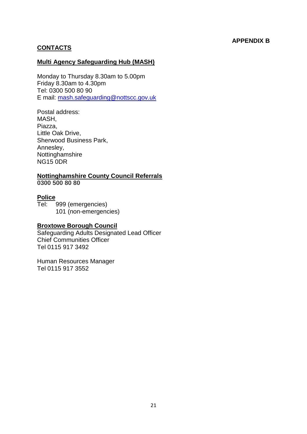## **APPENDIX B**

#### **CONTACTS**

# **Multi Agency Safeguarding Hub (MASH)**

Monday to Thursday 8.30am to 5.00pm Friday 8.30am to 4.30pm Tel: 0300 500 80 90 E mail: [mash.safeguarding@nottscc.gov.uk](mailto:mash.safeguarding@nottscc.gov.uk)

Postal address: MASH, Piazza, Little Oak Drive, Sherwood Business Park, Annesley, Nottinghamshire NG15 0DR

#### **Nottinghamshire County Council Referrals 0300 500 80 80**

#### **Police**

Tel: 999 (emergencies) 101 (non-emergencies)

#### **Broxtowe Borough Council**

Safeguarding Adults Designated Lead Officer Chief Communities Officer Tel 0115 917 3492

Human Resources Manager Tel 0115 917 3552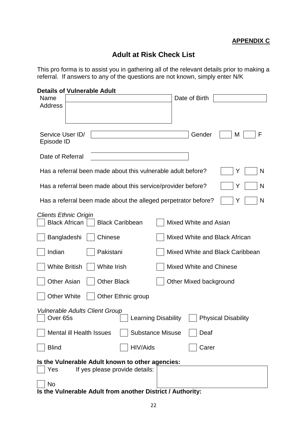# **APPENDIX C**

# **Adult at Risk Check List**

This pro forma is to assist you in gathering all of the relevant details prior to making a referral. If answers to any of the questions are not known, simply enter N/K

| <b>Details of Vulnerable Adult</b>                   |                                 |                    |                                                                |  |                         |                                 |
|------------------------------------------------------|---------------------------------|--------------------|----------------------------------------------------------------|--|-------------------------|---------------------------------|
| Name                                                 |                                 |                    |                                                                |  | Date of Birth           |                                 |
| <b>Address</b>                                       |                                 |                    |                                                                |  |                         |                                 |
|                                                      |                                 |                    |                                                                |  |                         |                                 |
| Service User ID/                                     |                                 |                    |                                                                |  | Gender                  | M<br>F                          |
| Episode ID                                           |                                 |                    |                                                                |  |                         |                                 |
| Date of Referral                                     |                                 |                    |                                                                |  |                         |                                 |
|                                                      |                                 |                    | Has a referral been made about this vulnerable adult before?   |  |                         | Y<br>N                          |
|                                                      |                                 |                    | Has a referral been made about this service/provider before?   |  |                         | Y<br>N                          |
|                                                      |                                 |                    | Has a referral been made about the alleged perpetrator before? |  |                         | N<br>Y                          |
| <b>Clients Ethnic Origin</b><br><b>Black African</b> |                                 |                    | <b>Black Caribbean</b>                                         |  | Mixed White and Asian   |                                 |
| Bangladeshi                                          |                                 | Chinese            |                                                                |  |                         | Mixed White and Black African   |
| Indian                                               |                                 | Pakistani          |                                                                |  |                         | Mixed White and Black Caribbean |
| <b>White British</b>                                 |                                 | <b>White Irish</b> |                                                                |  | Mixed White and Chinese |                                 |
| <b>Other Asian</b>                                   |                                 | <b>Other Black</b> |                                                                |  | Other Mixed background  |                                 |
| <b>Other White</b>                                   |                                 |                    | Other Ethnic group                                             |  |                         |                                 |
| <b>Vulnerable Adults Client Group</b><br>Over 65s    |                                 |                    | <b>Learning Disability</b>                                     |  |                         | Physical Disability             |
|                                                      | <b>Mental ill Health Issues</b> |                    | <b>Substance Misuse</b>                                        |  | Deaf                    |                                 |
| <b>Blind</b>                                         |                                 |                    | HIV/Aids                                                       |  | Carer                   |                                 |
|                                                      |                                 |                    | Is the Vulnerable Adult known to other agencies:               |  |                         |                                 |
| Yes                                                  |                                 |                    | If yes please provide details:                                 |  |                         |                                 |
| No                                                   |                                 |                    |                                                                |  |                         |                                 |

**Is the Vulnerable Adult from another District / Authority:**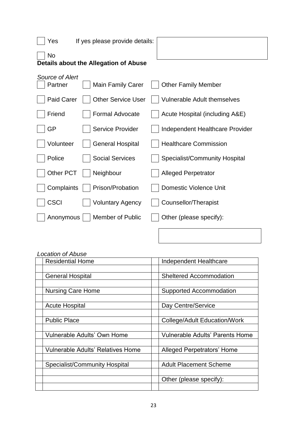| Yes                        | If yes please provide details:        |                                    |
|----------------------------|---------------------------------------|------------------------------------|
| No                         |                                       |                                    |
|                            | Details about the Allegation of Abuse |                                    |
| Source of Alert<br>Partner | <b>Main Family Carer</b>              | <b>Other Family Member</b>         |
| <b>Paid Carer</b>          | <b>Other Service User</b>             | <b>Vulnerable Adult themselves</b> |
| Friend                     | <b>Formal Advocate</b>                | Acute Hospital (including A&E)     |
| GP                         | <b>Service Provider</b>               | Independent Healthcare Provider    |
| Volunteer                  | <b>General Hospital</b>               | <b>Healthcare Commission</b>       |
| Police                     | <b>Social Services</b>                | Specialist/Community Hospital      |
| Other PCT                  | Neighbour                             | <b>Alleged Perpetrator</b>         |
| Complaints                 | Prison/Probation                      | Domestic Violence Unit             |
| <b>CSCI</b>                | <b>Voluntary Agency</b>               | Counsellor/Therapist               |
| Anonymous                  | Member of Public                      | Other (please specify):            |

#### *Location of Abuse*

| <b>Residential Home</b>                  | Independent Healthcare                 |
|------------------------------------------|----------------------------------------|
|                                          |                                        |
| <b>General Hospital</b>                  | <b>Sheltered Accommodation</b>         |
|                                          |                                        |
| <b>Nursing Care Home</b>                 | Supported Accommodation                |
|                                          |                                        |
| <b>Acute Hospital</b>                    | Day Centre/Service                     |
|                                          |                                        |
| <b>Public Place</b>                      | <b>College/Adult Education/Work</b>    |
|                                          |                                        |
| <b>Vulnerable Adults' Own Home</b>       | <b>Vulnerable Adults' Parents Home</b> |
|                                          |                                        |
| <b>Vulnerable Adults' Relatives Home</b> | <b>Alleged Perpetrators' Home</b>      |
|                                          |                                        |
| <b>Specialist/Community Hospital</b>     | <b>Adult Placement Scheme</b>          |
|                                          |                                        |
|                                          | Other (please specify):                |
|                                          |                                        |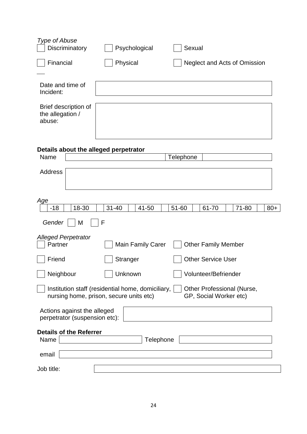| Type of Abuse<br>Discriminatory                              | Psychological                                                                                | Sexual                                               |       |
|--------------------------------------------------------------|----------------------------------------------------------------------------------------------|------------------------------------------------------|-------|
| Financial                                                    | Physical                                                                                     | <b>Neglect and Acts of Omission</b>                  |       |
| Date and time of<br>Incident:                                |                                                                                              |                                                      |       |
| Brief description of<br>the allegation /<br>abuse:           |                                                                                              |                                                      |       |
| Details about the alleged perpetrator                        |                                                                                              |                                                      |       |
| Name                                                         |                                                                                              | Telephone                                            |       |
| <b>Address</b>                                               |                                                                                              |                                                      |       |
| Age<br>18-30<br>$-18$                                        | $31 - 40$<br>41-50                                                                           | 51-60<br>61-70<br>71-80                              | $80+$ |
| Gender<br>M                                                  | F                                                                                            |                                                      |       |
| <b>Alleged Perpetrator</b><br>Partner                        | <b>Main Family Carer</b>                                                                     | <b>Other Family Member</b>                           |       |
| Friend                                                       | Stranger                                                                                     | <b>Other Service User</b>                            |       |
| Neighbour                                                    | Unknown                                                                                      | Volunteer/Befriender                                 |       |
|                                                              | Institution staff (residential home, domiciliary,<br>nursing home, prison, secure units etc) | Other Professional (Nurse,<br>GP, Social Worker etc) |       |
| Actions against the alleged<br>perpetrator (suspension etc): |                                                                                              |                                                      |       |
| <b>Details of the Referrer</b><br>Name                       | Telephone                                                                                    |                                                      |       |
| email                                                        |                                                                                              |                                                      |       |
| Job title:                                                   |                                                                                              |                                                      |       |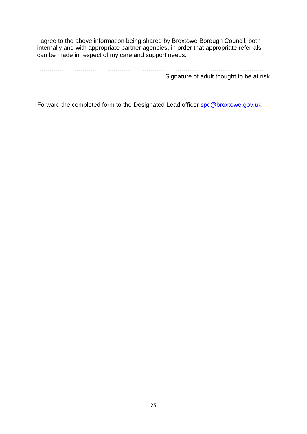I agree to the above information being shared by Broxtowe Borough Council, both internally and with appropriate partner agencies, in order that appropriate referrals can be made in respect of my care and support needs.

……………………………………………………………………………………………….. Signature of adult thought to be at risk

Forward the completed form to the Designated Lead officer [spc@broxtowe.gov.uk](mailto:spc@broxtowe.gov.uk)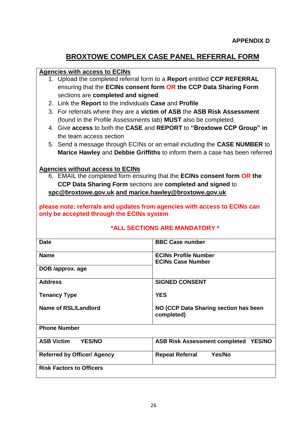# **BROXTOWE COMPLEX CASE PANEL REFERRAL FORM**

# **Agencies with access to ECINs**

- 1. Upload the completed referral form to a **Report** entitled **CCP REFERRAL** ensuring that the **ECINs consent form OR the CCP Data Sharing Form** sections are **completed and signed**.
- 2. Link the **Report** to the individuals **Case** and **Profile**
- 3. For referrals where they are a **victim of ASB** the **ASB Risk Assessment**  (found in the Profile Assessments tab) **MUST** also be completed
- 4. Give **access** to both the **CASE** and **REPORT** to **"Broxtowe CCP Group" in**  the team access section
- 5. Send a message through ECINs or an email including the **CASE NUMBER** to **Marice Hawley** and **Debbie Griffiths** to inform them a case has been referred

#### **Agencies without access to ECINs**

6. EMAIL the completed form ensuring that the **ECINs consent form OR the CCP Data Sharing Form** sections are **completed and signed** to **[spc@broxtowe.gov.uk](mailto:spc@broxtowe.gov.uk) and [marice.hawley@broxtowe.gov.uk](mailto:marice.hawley@broxtowe.gov.uk)** 

| please note: referrals and updates from agencies with access to ECINs can |  |
|---------------------------------------------------------------------------|--|
| only be accepted through the ECINs system                                 |  |

# **\*ALL SECTIONS ARE MANDATORY \***

| <b>Date</b>                        | <b>BBC Case number</b>                                |  |  |
|------------------------------------|-------------------------------------------------------|--|--|
| <b>Name</b>                        | <b>ECINs Profile Number</b>                           |  |  |
|                                    | <b>ECINs Case Number</b>                              |  |  |
| DOB /approx. age                   |                                                       |  |  |
| <b>Address</b>                     | <b>SIGNED CONSENT</b>                                 |  |  |
|                                    |                                                       |  |  |
| <b>Tenancy Type</b>                | <b>YES</b>                                            |  |  |
|                                    |                                                       |  |  |
| Name of RSL/Landlord               | NO (CCP Data Sharing section has been                 |  |  |
|                                    | completed)                                            |  |  |
|                                    |                                                       |  |  |
| <b>Phone Number</b>                |                                                       |  |  |
|                                    |                                                       |  |  |
| <b>ASB Victim</b><br><b>YES/NO</b> | <b>YES/NO</b><br><b>ASB Risk Assessment completed</b> |  |  |
|                                    |                                                       |  |  |
| <b>Referred by Officer/ Agency</b> | Yes/No<br><b>Repeat Referral</b>                      |  |  |
|                                    |                                                       |  |  |
| <b>Risk Factors to Officers</b>    |                                                       |  |  |
|                                    |                                                       |  |  |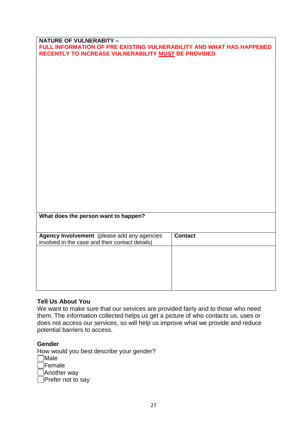| <b>NATURE OF VULNERABITY -</b><br>FULL INFORMATION OF PRE EXISTING VULNERABILITY AND WHAT HAS HAPPENED<br>RECENTLY TO INCREASE VULNERABILITY MUST BE PROVIDED |                |  |  |  |
|---------------------------------------------------------------------------------------------------------------------------------------------------------------|----------------|--|--|--|
|                                                                                                                                                               |                |  |  |  |
|                                                                                                                                                               |                |  |  |  |
|                                                                                                                                                               |                |  |  |  |
|                                                                                                                                                               |                |  |  |  |
|                                                                                                                                                               |                |  |  |  |
|                                                                                                                                                               |                |  |  |  |
|                                                                                                                                                               |                |  |  |  |
|                                                                                                                                                               |                |  |  |  |
|                                                                                                                                                               |                |  |  |  |
|                                                                                                                                                               |                |  |  |  |
|                                                                                                                                                               |                |  |  |  |
|                                                                                                                                                               |                |  |  |  |
|                                                                                                                                                               |                |  |  |  |
|                                                                                                                                                               |                |  |  |  |
| What does the person want to happen?                                                                                                                          |                |  |  |  |
|                                                                                                                                                               |                |  |  |  |
| Agency Involvement (please add any agencies                                                                                                                   | <b>Contact</b> |  |  |  |
| involved in the case and their contact details)                                                                                                               |                |  |  |  |
|                                                                                                                                                               |                |  |  |  |
|                                                                                                                                                               |                |  |  |  |
|                                                                                                                                                               |                |  |  |  |
|                                                                                                                                                               |                |  |  |  |

## **Tell Us About You**

We want to make sure that our services are provided fairly and to those who need them. The information collected helps us get a picture of who contacts us, uses or does not access our services, so will help us improve what we provide and reduce potential barriers to access.

#### **Gender**

How would you best describe your gender?

- $\Box$ Male
- Female
- Another way
- □Prefer not to say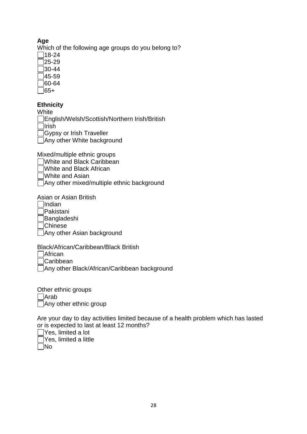# **Age**

Which of the following age groups do you belong to?

18-24

25-29

 $\sqrt{30-44}$ 

 $745 - 59$ 

 $\sqrt{60-64}$ 

 $\overline{\phantom{0}}$ 65+

# **Ethnicity**

**White** 

English/Welsh/Scottish/Northern Irish/British

 $\exists$ Irish

Gypsy or Irish Traveller

Any other White background

Mixed/multiple ethnic groups

White and Black Caribbean

White and Black African

White and Asian

Any other mixed/multiple ethnic background

Asian or Asian British

Indian

Pakistani

Bangladeshi

Chinese

Any other Asian background

Black/African/Caribbean/Black British

African

Caribbean

| Any other Black/African/Caribbean background |  |
|----------------------------------------------|--|
|----------------------------------------------|--|

Other ethnic groups Arab  $\Box$  Any other ethnic group

Are your day to day activities limited because of a health problem which has lasted or is expected to last at least 12 months?

|            | Yes, limited a lot    |  |
|------------|-----------------------|--|
|            | Yes, limited a little |  |
| <b>INo</b> |                       |  |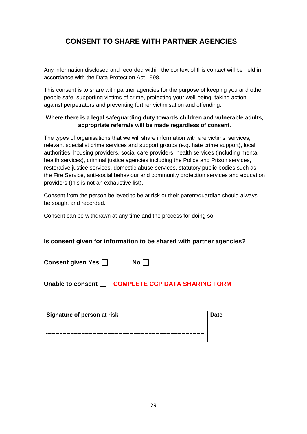# **CONSENT TO SHARE WITH PARTNER AGENCIES**

Any information disclosed and recorded within the context of this contact will be held in accordance with the Data Protection Act 1998.

This consent is to share with partner agencies for the purpose of keeping you and other people safe, supporting victims of crime, protecting your well-being, taking action against perpetrators and preventing further victimisation and offending.

#### **Where there is a legal safeguarding duty towards children and vulnerable adults, appropriate referrals will be made regardless of consent.**

The types of organisations that we will share information with are victims' services, relevant specialist crime services and support groups (e.g. hate crime support), local authorities, housing providers, social care providers, health services (including mental health services), criminal justice agencies including the Police and Prison services, restorative justice services, domestic abuse services, statutory public bodies such as the Fire Service, anti-social behaviour and community protection services and education providers (this is not an exhaustive list).

Consent from the person believed to be at risk or their parent/guardian should always be sought and recorded.

Consent can be withdrawn at any time and the process for doing so.

#### **Is consent given for information to be shared with partner agencies?**

**Consent given Yes No No No N** 

Unable to consent **COMPLETE CCP DATA SHARING FORM** 

| Signature of person at risk | <b>Date</b> |
|-----------------------------|-------------|
|                             |             |
|                             |             |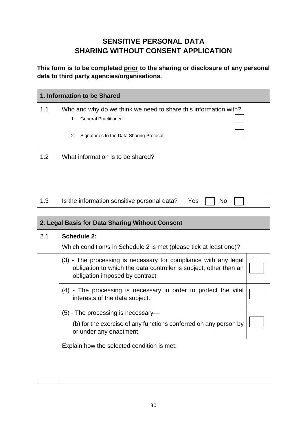# **SENSITIVE PERSONAL DATA SHARING WITHOUT CONSENT APPLICATION**

**This form is to be completed prior to the sharing or disclosure of any personal data to third party agencies/organisations.**

|     | 1. Information to be Shared                                                                                                                                 |
|-----|-------------------------------------------------------------------------------------------------------------------------------------------------------------|
| 1.1 | Who and why do we think we need to share this information with?<br><b>General Practitioner</b><br>$1_{-}$<br>2.<br>Signatories to the Data Sharing Protocol |
| 1.2 | What information is to be shared?                                                                                                                           |
| 1.3 | <b>No</b><br>Is the information sensitive personal data?<br>Yes                                                                                             |

| 2. Legal Basis for Data Sharing Without Consent |                                                                                                                                                                         |  |  |  |  |
|-------------------------------------------------|-------------------------------------------------------------------------------------------------------------------------------------------------------------------------|--|--|--|--|
| 2.1                                             | <b>Schedule 2:</b><br>Which condition/s in Schedule 2 is met (please tick at least one)?                                                                                |  |  |  |  |
|                                                 | (3) - The processing is necessary for compliance with any legal<br>obligation to which the data controller is subject, other than an<br>obligation imposed by contract. |  |  |  |  |
|                                                 | (4) - The processing is necessary in order to protect the vital<br>interests of the data subject.                                                                       |  |  |  |  |
|                                                 | $(5)$ - The processing is necessary-<br>(b) for the exercise of any functions conferred on any person by<br>or under any enactment,                                     |  |  |  |  |
|                                                 | Explain how the selected condition is met:                                                                                                                              |  |  |  |  |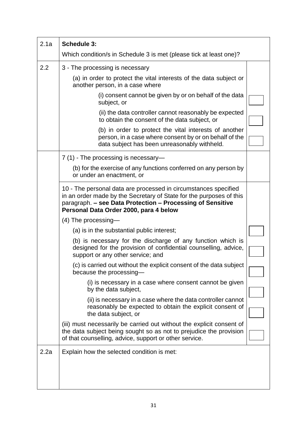| 2.1a | <b>Schedule 3:</b>                                                                                                                                                                                                                             |  |
|------|------------------------------------------------------------------------------------------------------------------------------------------------------------------------------------------------------------------------------------------------|--|
|      | Which condition/s in Schedule 3 is met (please tick at least one)?                                                                                                                                                                             |  |
| 2.2  | 3 - The processing is necessary                                                                                                                                                                                                                |  |
|      | (a) in order to protect the vital interests of the data subject or<br>another person, in a case where                                                                                                                                          |  |
|      | (i) consent cannot be given by or on behalf of the data<br>subject, or                                                                                                                                                                         |  |
|      | (ii) the data controller cannot reasonably be expected<br>to obtain the consent of the data subject, or                                                                                                                                        |  |
|      | (b) in order to protect the vital interests of another<br>person, in a case where consent by or on behalf of the<br>data subject has been unreasonably withheld.                                                                               |  |
|      | 7 (1) - The processing is necessary-                                                                                                                                                                                                           |  |
|      | (b) for the exercise of any functions conferred on any person by<br>or under an enactment, or                                                                                                                                                  |  |
|      | 10 - The personal data are processed in circumstances specified<br>in an order made by the Secretary of State for the purposes of this<br>paragraph. - see Data Protection - Processing of Sensitive<br>Personal Data Order 2000, para 4 below |  |
|      | (4) The processing-                                                                                                                                                                                                                            |  |
|      | (a) is in the substantial public interest;                                                                                                                                                                                                     |  |
|      | (b) is necessary for the discharge of any function which is<br>designed for the provision of confidential counselling, advice,<br>support or any other service; and                                                                            |  |
|      | (c) is carried out without the explicit consent of the data subject<br>because the processing-                                                                                                                                                 |  |
|      | (i) is necessary in a case where consent cannot be given<br>by the data subject,                                                                                                                                                               |  |
|      | (ii) is necessary in a case where the data controller cannot<br>reasonably be expected to obtain the explicit consent of<br>the data subject, or                                                                                               |  |
|      | (iii) must necessarily be carried out without the explicit consent of<br>the data subject being sought so as not to prejudice the provision<br>of that counselling, advice, support or other service.                                          |  |
| 2.2a | Explain how the selected condition is met:                                                                                                                                                                                                     |  |
|      |                                                                                                                                                                                                                                                |  |
|      |                                                                                                                                                                                                                                                |  |
|      |                                                                                                                                                                                                                                                |  |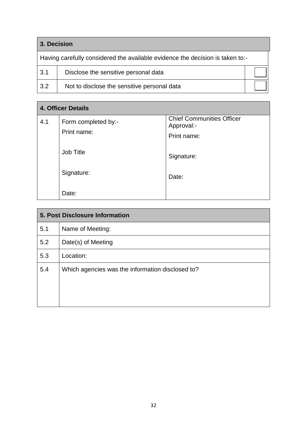| 3. Decision                                                                   |                                             |  |
|-------------------------------------------------------------------------------|---------------------------------------------|--|
| Having carefully considered the available evidence the decision is taken to:- |                                             |  |
| 3.1                                                                           | Disclose the sensitive personal data        |  |
| 3.2                                                                           | Not to disclose the sensitive personal data |  |

| <b>4. Officer Details</b>                 |            |                                                |
|-------------------------------------------|------------|------------------------------------------------|
| 4.1<br>Form completed by:-<br>Print name: |            | <b>Chief Communities Officer</b><br>Approval:- |
|                                           |            | Print name:                                    |
|                                           | Job Title  | Signature:                                     |
|                                           | Signature: | Date:                                          |
|                                           | Date:      |                                                |

| 5. Post Disclosure Information |                                                  |  |
|--------------------------------|--------------------------------------------------|--|
| 5.1                            | Name of Meeting:                                 |  |
| 5.2                            | Date(s) of Meeting                               |  |
| 5.3                            | Location:                                        |  |
| 5.4                            | Which agencies was the information disclosed to? |  |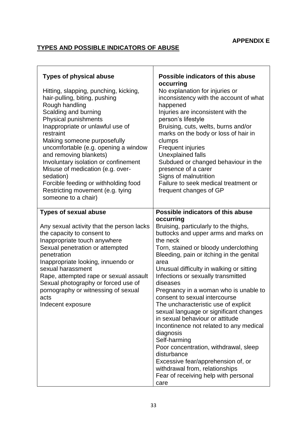# **APPENDIX E**

# **TYPES AND POSSIBLE INDICATORS OF ABUSE**

| <b>Types of physical abuse</b><br>Hitting, slapping, punching, kicking,<br>hair-pulling, biting, pushing<br>Rough handling<br>Scalding and burning<br>Physical punishments<br>Inappropriate or unlawful use of<br>restraint<br>Making someone purposefully<br>uncomfortable (e.g. opening a window<br>and removing blankets)<br>Involuntary isolation or confinement<br>Misuse of medication (e.g. over-<br>sedation)<br>Forcible feeding or withholding food<br>Restricting movement (e.g. tying<br>someone to a chair) | Possible indicators of this abuse<br>occurring<br>No explanation for injuries or<br>inconsistency with the account of what<br>happened<br>Injuries are inconsistent with the<br>person's lifestyle<br>Bruising, cuts, welts, burns and/or<br>marks on the body or loss of hair in<br>clumps<br>Frequent injuries<br>Unexplained falls<br>Subdued or changed behaviour in the<br>presence of a carer<br>Signs of malnutrition<br>Failure to seek medical treatment or<br>frequent changes of GP                                                                                                                                                                                                                                                                                                |
|--------------------------------------------------------------------------------------------------------------------------------------------------------------------------------------------------------------------------------------------------------------------------------------------------------------------------------------------------------------------------------------------------------------------------------------------------------------------------------------------------------------------------|-----------------------------------------------------------------------------------------------------------------------------------------------------------------------------------------------------------------------------------------------------------------------------------------------------------------------------------------------------------------------------------------------------------------------------------------------------------------------------------------------------------------------------------------------------------------------------------------------------------------------------------------------------------------------------------------------------------------------------------------------------------------------------------------------|
| <b>Types of sexual abuse</b><br>Any sexual activity that the person lacks<br>the capacity to consent to<br>Inappropriate touch anywhere<br>Sexual penetration or attempted<br>penetration<br>Inappropriate looking, innuendo or<br>sexual harassment<br>Rape, attempted rape or sexual assault<br>Sexual photography or forced use of<br>pornography or witnessing of sexual<br>acts<br>Indecent exposure                                                                                                                | Possible indicators of this abuse<br>occurring<br>Bruising, particularly to the thighs,<br>buttocks and upper arms and marks on<br>the neck<br>Torn, stained or bloody underclothing<br>Bleeding, pain or itching in the genital<br>area<br>Unusual difficulty in walking or sitting<br>Infections or sexually transmitted<br>diseases<br>Pregnancy in a woman who is unable to<br>consent to sexual intercourse<br>The uncharacteristic use of explicit<br>sexual language or significant changes<br>in sexual behaviour or attitude<br>Incontinence not related to any medical<br>diagnosis<br>Self-harming<br>Poor concentration, withdrawal, sleep<br>disturbance<br>Excessive fear/apprehension of, or<br>withdrawal from, relationships<br>Fear of receiving help with personal<br>care |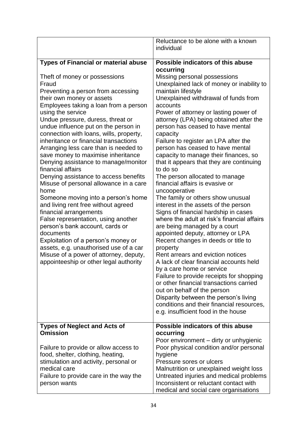|                                                                                                                                                                                                                                                                                                                                                                                                                                                                                                                                                                                                                                                                                                                                                                                                                                                                                                                                                     | Reluctance to be alone with a known<br>individual                                                                                                                                                                                                                                                                                                                                                                                                                                                                                                                                                                                                                                                                                                                                                                                                                                                                                                                                                                                                                                                                                                                                                                                   |
|-----------------------------------------------------------------------------------------------------------------------------------------------------------------------------------------------------------------------------------------------------------------------------------------------------------------------------------------------------------------------------------------------------------------------------------------------------------------------------------------------------------------------------------------------------------------------------------------------------------------------------------------------------------------------------------------------------------------------------------------------------------------------------------------------------------------------------------------------------------------------------------------------------------------------------------------------------|-------------------------------------------------------------------------------------------------------------------------------------------------------------------------------------------------------------------------------------------------------------------------------------------------------------------------------------------------------------------------------------------------------------------------------------------------------------------------------------------------------------------------------------------------------------------------------------------------------------------------------------------------------------------------------------------------------------------------------------------------------------------------------------------------------------------------------------------------------------------------------------------------------------------------------------------------------------------------------------------------------------------------------------------------------------------------------------------------------------------------------------------------------------------------------------------------------------------------------------|
| <b>Types of Financial or material abuse</b>                                                                                                                                                                                                                                                                                                                                                                                                                                                                                                                                                                                                                                                                                                                                                                                                                                                                                                         | Possible indicators of this abuse                                                                                                                                                                                                                                                                                                                                                                                                                                                                                                                                                                                                                                                                                                                                                                                                                                                                                                                                                                                                                                                                                                                                                                                                   |
| Theft of money or possessions<br>Fraud<br>Preventing a person from accessing<br>their own money or assets<br>Employees taking a loan from a person<br>using the service<br>Undue pressure, duress, threat or<br>undue influence put on the person in<br>connection with loans, wills, property,<br>inheritance or financial transactions<br>Arranging less care than is needed to<br>save money to maximise inheritance<br>Denying assistance to manage/monitor<br>financial affairs<br>Denying assistance to access benefits<br>Misuse of personal allowance in a care<br>home<br>Someone moving into a person's home<br>and living rent free without agreed<br>financial arrangements<br>False representation, using another<br>person's bank account, cards or<br>documents<br>Exploitation of a person's money or<br>assets, e.g. unauthorised use of a car<br>Misuse of a power of attorney, deputy,<br>appointeeship or other legal authority | occurring<br>Missing personal possessions<br>Unexplained lack of money or inability to<br>maintain lifestyle<br>Unexplained withdrawal of funds from<br>accounts<br>Power of attorney or lasting power of<br>attorney (LPA) being obtained after the<br>person has ceased to have mental<br>capacity<br>Failure to register an LPA after the<br>person has ceased to have mental<br>capacity to manage their finances, so<br>that it appears that they are continuing<br>to do so<br>The person allocated to manage<br>financial affairs is evasive or<br>uncooperative<br>The family or others show unusual<br>interest in the assets of the person<br>Signs of financial hardship in cases<br>where the adult at risk's financial affairs<br>are being managed by a court<br>appointed deputy, attorney or LPA<br>Recent changes in deeds or title to<br>property<br>Rent arrears and eviction notices<br>A lack of clear financial accounts held<br>by a care home or service<br>Failure to provide receipts for shopping<br>or other financial transactions carried<br>out on behalf of the person<br>Disparity between the person's living<br>conditions and their financial resources,<br>e.g. insufficient food in the house |
| <b>Types of Neglect and Acts of</b><br><b>Omission</b>                                                                                                                                                                                                                                                                                                                                                                                                                                                                                                                                                                                                                                                                                                                                                                                                                                                                                              | Possible indicators of this abuse<br>occurring<br>Poor environment – dirty or unhygienic                                                                                                                                                                                                                                                                                                                                                                                                                                                                                                                                                                                                                                                                                                                                                                                                                                                                                                                                                                                                                                                                                                                                            |
| Failure to provide or allow access to<br>food, shelter, clothing, heating,<br>stimulation and activity, personal or<br>medical care<br>Failure to provide care in the way the<br>person wants                                                                                                                                                                                                                                                                                                                                                                                                                                                                                                                                                                                                                                                                                                                                                       | Poor physical condition and/or personal<br>hygiene<br>Pressure sores or ulcers<br>Malnutrition or unexplained weight loss<br>Untreated injuries and medical problems<br>Inconsistent or reluctant contact with<br>medical and social care organisations                                                                                                                                                                                                                                                                                                                                                                                                                                                                                                                                                                                                                                                                                                                                                                                                                                                                                                                                                                             |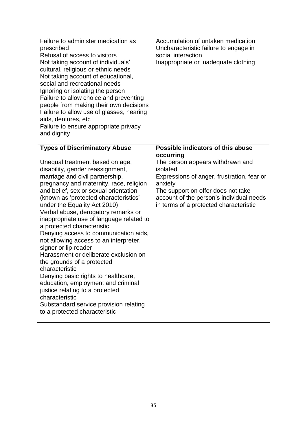| Failure to administer medication as<br>prescribed<br>Refusal of access to visitors<br>Not taking account of individuals'<br>cultural, religious or ethnic needs<br>Not taking account of educational,<br>social and recreational needs<br>Ignoring or isolating the person<br>Failure to allow choice and preventing<br>people from making their own decisions<br>Failure to allow use of glasses, hearing<br>aids, dentures, etc<br>Failure to ensure appropriate privacy<br>and dignity                                                                                                                                                                                                                                                                                                                                                     | Accumulation of untaken medication<br>Uncharacteristic failure to engage in<br>social interaction<br>Inappropriate or inadequate clothing                                                                                                                                           |
|-----------------------------------------------------------------------------------------------------------------------------------------------------------------------------------------------------------------------------------------------------------------------------------------------------------------------------------------------------------------------------------------------------------------------------------------------------------------------------------------------------------------------------------------------------------------------------------------------------------------------------------------------------------------------------------------------------------------------------------------------------------------------------------------------------------------------------------------------|-------------------------------------------------------------------------------------------------------------------------------------------------------------------------------------------------------------------------------------------------------------------------------------|
| <b>Types of Discriminatory Abuse</b><br>Unequal treatment based on age,<br>disability, gender reassignment,<br>marriage and civil partnership,<br>pregnancy and maternity, race, religion<br>and belief, sex or sexual orientation<br>(known as 'protected characteristics'<br>under the Equality Act 2010)<br>Verbal abuse, derogatory remarks or<br>inappropriate use of language related to<br>a protected characteristic<br>Denying access to communication aids,<br>not allowing access to an interpreter,<br>signer or lip-reader<br>Harassment or deliberate exclusion on<br>the grounds of a protected<br>characteristic<br>Denying basic rights to healthcare,<br>education, employment and criminal<br>justice relating to a protected<br>characteristic<br>Substandard service provision relating<br>to a protected characteristic | Possible indicators of this abuse<br>occurring<br>The person appears withdrawn and<br>isolated<br>Expressions of anger, frustration, fear or<br>anxiety<br>The support on offer does not take<br>account of the person's individual needs<br>in terms of a protected characteristic |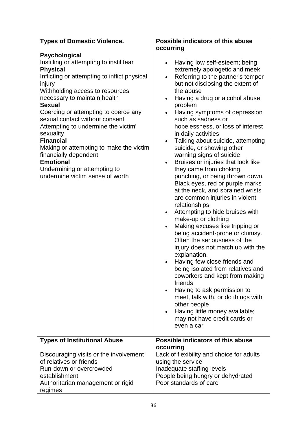| <b>Types of Domestic Violence.</b>                                                                                                                                                                                                                                                                                                                                                                                                                                                                                                            | Possible indicators of this abuse<br>occurring                                                                                                                                                                                                                                                                                                                                                                                                                                                                                                                                                                                                                                                                                                                                                                                                                                                                                                                                                                                                                                                                                                                                                                                                                                     |
|-----------------------------------------------------------------------------------------------------------------------------------------------------------------------------------------------------------------------------------------------------------------------------------------------------------------------------------------------------------------------------------------------------------------------------------------------------------------------------------------------------------------------------------------------|------------------------------------------------------------------------------------------------------------------------------------------------------------------------------------------------------------------------------------------------------------------------------------------------------------------------------------------------------------------------------------------------------------------------------------------------------------------------------------------------------------------------------------------------------------------------------------------------------------------------------------------------------------------------------------------------------------------------------------------------------------------------------------------------------------------------------------------------------------------------------------------------------------------------------------------------------------------------------------------------------------------------------------------------------------------------------------------------------------------------------------------------------------------------------------------------------------------------------------------------------------------------------------|
| <b>Psychological</b><br>Instilling or attempting to instil fear<br><b>Physical</b><br>Inflicting or attempting to inflict physical<br>injury<br>Withholding access to resources<br>necessary to maintain health<br><b>Sexual</b><br>Coercing or attempting to coerce any<br>sexual contact without consent<br>Attempting to undermine the victim'<br>sexuality<br><b>Financial</b><br>Making or attempting to make the victim<br>financially dependent<br><b>Emotional</b><br>Undermining or attempting to<br>undermine victim sense of worth | Having low self-esteem; being<br>$\bullet$<br>extremely apologetic and meek<br>Referring to the partner's temper<br>$\bullet$<br>but not disclosing the extent of<br>the abuse<br>Having a drug or alcohol abuse<br>$\bullet$<br>problem<br>Having symptoms of depression<br>such as sadness or<br>hopelessness, or loss of interest<br>in daily activities<br>Talking about suicide, attempting<br>$\bullet$<br>suicide, or showing other<br>warning signs of suicide<br>Bruises or injuries that look like<br>$\bullet$<br>they came from choking,<br>punching, or being thrown down.<br>Black eyes, red or purple marks<br>at the neck, and sprained wrists<br>are common injuries in violent<br>relationships.<br>Attempting to hide bruises with<br>$\bullet$<br>make-up or clothing<br>Making excuses like tripping or<br>$\bullet$<br>being accident-prone or clumsy.<br>Often the seriousness of the<br>injury does not match up with the<br>explanation.<br>Having few close friends and<br>being isolated from relatives and<br>coworkers and kept from making<br>friends<br>Having to ask permission to<br>$\bullet$<br>meet, talk with, or do things with<br>other people<br>Having little money available;<br>$\bullet$<br>may not have credit cards or<br>even a car |
| <b>Types of Institutional Abuse</b><br>Discouraging visits or the involvement<br>of relatives or friends<br>Run-down or overcrowded<br>establishment<br>Authoritarian management or rigid<br>regimes                                                                                                                                                                                                                                                                                                                                          | Possible indicators of this abuse<br>occurring<br>Lack of flexibility and choice for adults<br>using the service<br>Inadequate staffing levels<br>People being hungry or dehydrated<br>Poor standards of care                                                                                                                                                                                                                                                                                                                                                                                                                                                                                                                                                                                                                                                                                                                                                                                                                                                                                                                                                                                                                                                                      |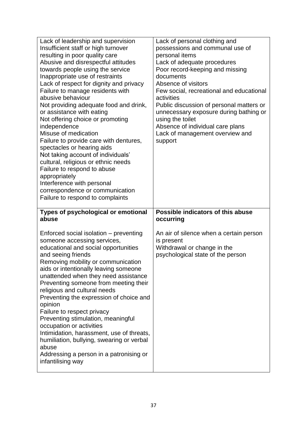| Lack of leadership and supervision<br>Insufficient staff or high turnover<br>resulting in poor quality care<br>Abusive and disrespectful attitudes<br>towards people using the service<br>Inappropriate use of restraints<br>Lack of respect for dignity and privacy<br>Failure to manage residents with<br>abusive behaviour<br>Not providing adequate food and drink,<br>or assistance with eating<br>Not offering choice or promoting<br>independence<br>Misuse of medication<br>Failure to provide care with dentures,<br>spectacles or hearing aids<br>Not taking account of individuals'<br>cultural, religious or ethnic needs<br>Failure to respond to abuse<br>appropriately<br>Interference with personal<br>correspondence or communication<br>Failure to respond to complaints | Lack of personal clothing and<br>possessions and communal use of<br>personal items<br>Lack of adequate procedures<br>Poor record-keeping and missing<br>documents<br>Absence of visitors<br>Few social, recreational and educational<br>activities<br>Public discussion of personal matters or<br>unnecessary exposure during bathing or<br>using the toilet<br>Absence of individual care plans<br>Lack of management overview and<br>support |
|--------------------------------------------------------------------------------------------------------------------------------------------------------------------------------------------------------------------------------------------------------------------------------------------------------------------------------------------------------------------------------------------------------------------------------------------------------------------------------------------------------------------------------------------------------------------------------------------------------------------------------------------------------------------------------------------------------------------------------------------------------------------------------------------|------------------------------------------------------------------------------------------------------------------------------------------------------------------------------------------------------------------------------------------------------------------------------------------------------------------------------------------------------------------------------------------------------------------------------------------------|
| Types of psychological or emotional<br>abuse                                                                                                                                                                                                                                                                                                                                                                                                                                                                                                                                                                                                                                                                                                                                               | Possible indicators of this abuse<br>occurring                                                                                                                                                                                                                                                                                                                                                                                                 |
| Enforced social isolation – preventing<br>someone accessing services,                                                                                                                                                                                                                                                                                                                                                                                                                                                                                                                                                                                                                                                                                                                      | An air of silence when a certain person                                                                                                                                                                                                                                                                                                                                                                                                        |